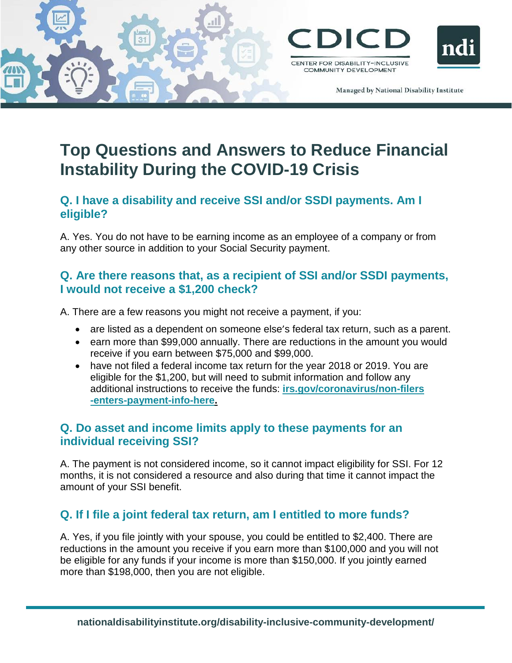



Managed by National Disability Institute

# **Top Questions and Answers to Reduce Financial Instability During the COVID-19 Crisis**

#### **Q. I have a disability and receive SSI and/or SSDI payments. Am I eligible?**

A. Yes. You do not have to be earning income as an employee of a company or from any other source in addition to your Social Security payment.

# **Q. Are there reasons that, as a recipient of SSI and/or SSDI payments, I would not receive a \$1,200 check?**

A. There are a few reasons you might not receive a payment, if you:

- are listed as a dependent on someone else's federal tax return, such as a parent.
- earn more than \$99,000 annually. There are reductions in the amount you would receive if you earn between \$75,000 and \$99,000.
- have not filed a federal income tax return for the year 2018 or 2019. You are eligible for the \$1,200, but will need to submit information and follow any additional instructions to receive the funds: **[irs.gov/coronavirus/non-filers](https://www.irs.gov/coronavirus/non-filers-enter-payment-info-here) [-enters-payment-info-here.](https://www.irs.gov/coronavirus/non-filers-enter-payment-info-here)**

# **Q. Do asset and income limits apply to these payments for an individual receiving SSI?**

A. The payment is not considered income, so it cannot impact eligibility for SSI. For 12 months, it is not considered a resource and also during that time it cannot impact the amount of your SSI benefit.

# **Q. If I file a joint federal tax return, am I entitled to more funds?**

A. Yes, if you file jointly with your spouse, you could be entitled to \$2,400. There are reductions in the amount you receive if you earn more than \$100,000 and you will not be eligible for any funds if your income is more than \$150,000. If you jointly earned more than \$198,000, then you are not eligible.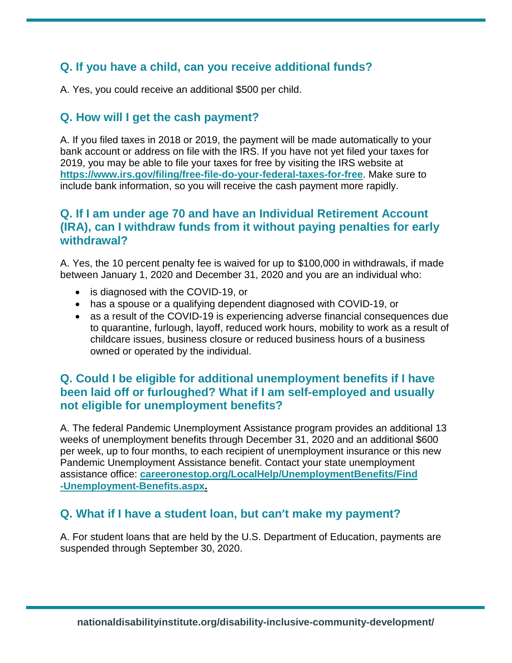# **Q. If you have a child, can you receive additional funds?**

A. Yes, you could receive an additional \$500 per child.

# **Q. How will I get the cash payment?**

A. If you filed taxes in 2018 or 2019, the payment will be made automatically to your bank account or address on file with the IRS. If you have not yet filed your taxes for 2019, you may be able to file your taxes for free by visiting the IRS website at **<https://www.irs.gov/filing/free-file-do-your-federal-taxes-for-free>**. Make sure to include bank information, so you will receive the cash payment more rapidly.

#### **Q. If I am under age 70 and have an Individual Retirement Account (IRA), can I withdraw funds from it without paying penalties for early withdrawal?**

A. Yes, the 10 percent penalty fee is waived for up to \$100,000 in withdrawals, if made between January 1, 2020 and December 31, 2020 and you are an individual who:

- is diagnosed with the COVID-19, or
- has a spouse or a qualifying dependent diagnosed with COVID-19, or
- as a result of the COVID-19 is experiencing adverse financial consequences due to quarantine, furlough, layoff, reduced work hours, mobility to work as a result of childcare issues, business closure or reduced business hours of a business owned or operated by the individual.

# **Q. Could I be eligible for additional unemployment benefits if I have been laid off or furloughed? What if I am self-employed and usually not eligible for unemployment benefits?**

A. The federal Pandemic Unemployment Assistance program provides an additional 13 weeks of unemployment benefits through December 31, 2020 and an additional \$600 per week, up to four months, to each recipient of unemployment insurance or this new Pandemic Unemployment Assistance benefit. Contact your state unemployment assistance office: **[careeronestop.org/LocalHelp/UnemploymentBenefits/Find](https://www.careeronestop.org/LocalHelp/UnemploymentBenefits/Find-Unemployment-Benefits.aspx) [-Unemployment-Benefits.aspx.](https://www.careeronestop.org/LocalHelp/UnemploymentBenefits/Find-Unemployment-Benefits.aspx)**

#### **Q. What if I have a student loan, but can't make my payment?**

A. For student loans that are held by the U.S. Department of Education, payments are suspended through September 30, 2020.